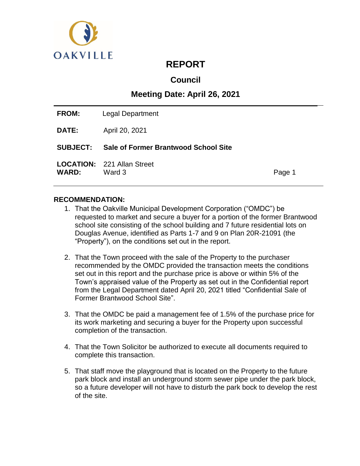

# **REPORT**

**Council** 

## **Meeting Date: April 26, 2021**

| <b>FROM:</b>    | Legal Department                            |        |
|-----------------|---------------------------------------------|--------|
| <b>DATE:</b>    | April 20, 2021                              |        |
| <b>SUBJECT:</b> | <b>Sale of Former Brantwood School Site</b> |        |
| <b>WARD:</b>    | <b>LOCATION: 221 Allan Street</b><br>Ward 3 | Page 1 |

## **RECOMMENDATION:**

- 1. That the Oakville Municipal Development Corporation ("OMDC") be requested to market and secure a buyer for a portion of the former Brantwood school site consisting of the school building and 7 future residential lots on Douglas Avenue, identified as Parts 1-7 and 9 on Plan 20R-21091 (the "Property"), on the conditions set out in the report.
- 2. That the Town proceed with the sale of the Property to the purchaser recommended by the OMDC provided the transaction meets the conditions set out in this report and the purchase price is above or within 5% of the Town's appraised value of the Property as set out in the Confidential report from the Legal Department dated April 20, 2021 titled "Confidential Sale of Former Brantwood School Site".
- 3. That the OMDC be paid a management fee of 1.5% of the purchase price for its work marketing and securing a buyer for the Property upon successful completion of the transaction.
- 4. That the Town Solicitor be authorized to execute all documents required to complete this transaction.
- 5. That staff move the playground that is located on the Property to the future park block and install an underground storm sewer pipe under the park block, so a future developer will not have to disturb the park bock to develop the rest of the site.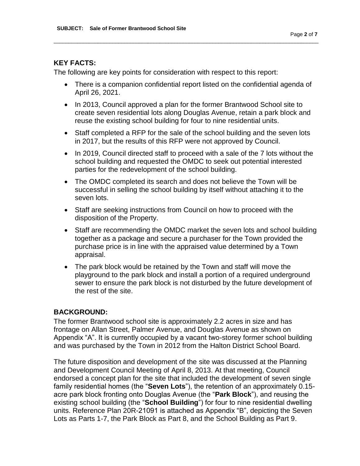## **KEY FACTS:**

The following are key points for consideration with respect to this report:

 There is a companion confidential report listed on the confidential agenda of April 26, 2021.

\_\_\_\_\_\_\_\_\_\_\_\_\_\_\_\_\_\_\_\_\_\_\_\_\_\_\_\_\_\_\_\_\_\_\_\_\_\_\_\_\_\_\_\_\_\_\_\_\_\_\_\_\_\_\_\_\_\_\_\_\_\_\_\_\_\_\_\_\_\_\_\_\_\_\_\_\_\_\_\_\_\_\_\_\_\_\_\_\_\_

- In 2013, Council approved a plan for the former Brantwood School site to create seven residential lots along Douglas Avenue, retain a park block and reuse the existing school building for four to nine residential units.
- Staff completed a RFP for the sale of the school building and the seven lots in 2017, but the results of this RFP were not approved by Council.
- In 2019, Council directed staff to proceed with a sale of the 7 lots without the school building and requested the OMDC to seek out potential interested parties for the redevelopment of the school building.
- The OMDC completed its search and does not believe the Town will be successful in selling the school building by itself without attaching it to the seven lots.
- Staff are seeking instructions from Council on how to proceed with the disposition of the Property.
- Staff are recommending the OMDC market the seven lots and school building together as a package and secure a purchaser for the Town provided the purchase price is in line with the appraised value determined by a Town appraisal.
- The park block would be retained by the Town and staff will move the playground to the park block and install a portion of a required underground sewer to ensure the park block is not disturbed by the future development of the rest of the site.

## **BACKGROUND:**

The former Brantwood school site is approximately 2.2 acres in size and has frontage on Allan Street, Palmer Avenue, and Douglas Avenue as shown on Appendix "A". It is currently occupied by a vacant two-storey former school building and was purchased by the Town in 2012 from the Halton District School Board.

The future disposition and development of the site was discussed at the Planning and Development Council Meeting of April 8, 2013. At that meeting, Council endorsed a concept plan for the site that included the development of seven single family residential homes (the "**Seven Lots**"), the retention of an approximately 0.15 acre park block fronting onto Douglas Avenue (the "**Park Block**"), and reusing the existing school building (the "**School Building**") for four to nine residential dwelling units. Reference Plan 20R-21091 is attached as Appendix "B", depicting the Seven Lots as Parts 1-7, the Park Block as Part 8, and the School Building as Part 9.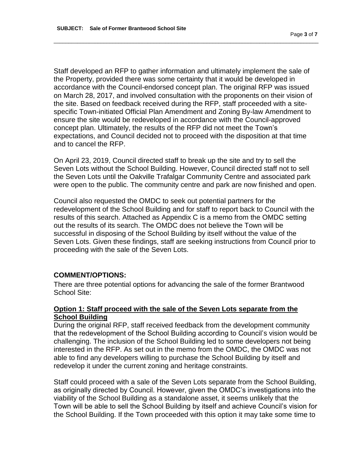Staff developed an RFP to gather information and ultimately implement the sale of the Property, provided there was some certainty that it would be developed in accordance with the Council-endorsed concept plan. The original RFP was issued on March 28, 2017, and involved consultation with the proponents on their vision of the site. Based on feedback received during the RFP, staff proceeded with a sitespecific Town-initiated Official Plan Amendment and Zoning By-law Amendment to ensure the site would be redeveloped in accordance with the Council-approved concept plan. Ultimately, the results of the RFP did not meet the Town's expectations, and Council decided not to proceed with the disposition at that time and to cancel the RFP.

\_\_\_\_\_\_\_\_\_\_\_\_\_\_\_\_\_\_\_\_\_\_\_\_\_\_\_\_\_\_\_\_\_\_\_\_\_\_\_\_\_\_\_\_\_\_\_\_\_\_\_\_\_\_\_\_\_\_\_\_\_\_\_\_\_\_\_\_\_\_\_\_\_\_\_\_\_\_\_\_\_\_\_\_\_\_\_\_\_\_

On April 23, 2019, Council directed staff to break up the site and try to sell the Seven Lots without the School Building. However, Council directed staff not to sell the Seven Lots until the Oakville Trafalgar Community Centre and associated park were open to the public. The community centre and park are now finished and open.

Council also requested the OMDC to seek out potential partners for the redevelopment of the School Building and for staff to report back to Council with the results of this search. Attached as Appendix C is a memo from the OMDC setting out the results of its search. The OMDC does not believe the Town will be successful in disposing of the School Building by itself without the value of the Seven Lots. Given these findings, staff are seeking instructions from Council prior to proceeding with the sale of the Seven Lots.

#### **COMMENT/OPTIONS:**

There are three potential options for advancing the sale of the former Brantwood School Site:

#### **Option 1: Staff proceed with the sale of the Seven Lots separate from the School Building**

During the original RFP, staff received feedback from the development community that the redevelopment of the School Building according to Council's vision would be challenging. The inclusion of the School Building led to some developers not being interested in the RFP. As set out in the memo from the OMDC, the OMDC was not able to find any developers willing to purchase the School Building by itself and redevelop it under the current zoning and heritage constraints.

Staff could proceed with a sale of the Seven Lots separate from the School Building, as originally directed by Council. However, given the OMDC's investigations into the viability of the School Building as a standalone asset, it seems unlikely that the Town will be able to sell the School Building by itself and achieve Council's vision for the School Building. If the Town proceeded with this option it may take some time to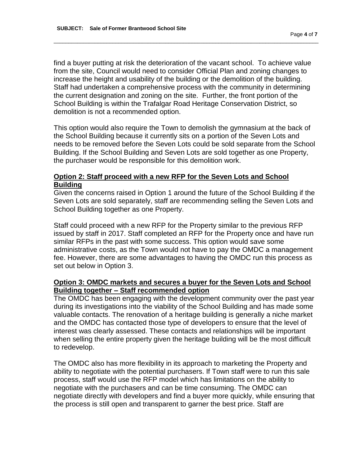find a buyer putting at risk the deterioration of the vacant school. To achieve value from the site, Council would need to consider Official Plan and zoning changes to increase the height and usability of the building or the demolition of the building. Staff had undertaken a comprehensive process with the community in determining the current designation and zoning on the site. Further, the front portion of the School Building is within the Trafalgar Road Heritage Conservation District, so demolition is not a recommended option.

\_\_\_\_\_\_\_\_\_\_\_\_\_\_\_\_\_\_\_\_\_\_\_\_\_\_\_\_\_\_\_\_\_\_\_\_\_\_\_\_\_\_\_\_\_\_\_\_\_\_\_\_\_\_\_\_\_\_\_\_\_\_\_\_\_\_\_\_\_\_\_\_\_\_\_\_\_\_\_\_\_\_\_\_\_\_\_\_\_\_

This option would also require the Town to demolish the gymnasium at the back of the School Building because it currently sits on a portion of the Seven Lots and needs to be removed before the Seven Lots could be sold separate from the School Building. If the School Building and Seven Lots are sold together as one Property, the purchaser would be responsible for this demolition work.

#### **Option 2: Staff proceed with a new RFP for the Seven Lots and School Building**

Given the concerns raised in Option 1 around the future of the School Building if the Seven Lots are sold separately, staff are recommending selling the Seven Lots and School Building together as one Property.

Staff could proceed with a new RFP for the Property similar to the previous RFP issued by staff in 2017. Staff completed an RFP for the Property once and have run similar RFPs in the past with some success. This option would save some administrative costs, as the Town would not have to pay the OMDC a management fee. However, there are some advantages to having the OMDC run this process as set out below in Option 3.

#### **Option 3: OMDC markets and secures a buyer for the Seven Lots and School Building together – Staff recommended option**

The OMDC has been engaging with the development community over the past year during its investigations into the viability of the School Building and has made some valuable contacts. The renovation of a heritage building is generally a niche market and the OMDC has contacted those type of developers to ensure that the level of interest was clearly assessed. These contacts and relationships will be important when selling the entire property given the heritage building will be the most difficult to redevelop.

The OMDC also has more flexibility in its approach to marketing the Property and ability to negotiate with the potential purchasers. If Town staff were to run this sale process, staff would use the RFP model which has limitations on the ability to negotiate with the purchasers and can be time consuming. The OMDC can negotiate directly with developers and find a buyer more quickly, while ensuring that the process is still open and transparent to garner the best price. Staff are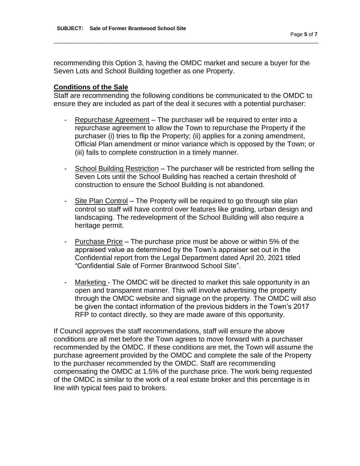recommending this Option 3, having the OMDC market and secure a buyer for the Seven Lots and School Building together as one Property.

\_\_\_\_\_\_\_\_\_\_\_\_\_\_\_\_\_\_\_\_\_\_\_\_\_\_\_\_\_\_\_\_\_\_\_\_\_\_\_\_\_\_\_\_\_\_\_\_\_\_\_\_\_\_\_\_\_\_\_\_\_\_\_\_\_\_\_\_\_\_\_\_\_\_\_\_\_\_\_\_\_\_\_\_\_\_\_\_\_\_

#### **Conditions of the Sale**

Staff are recommending the following conditions be communicated to the OMDC to ensure they are included as part of the deal it secures with a potential purchaser:

- Repurchase Agreement The purchaser will be required to enter into a repurchase agreement to allow the Town to repurchase the Property if the purchaser (i) tries to flip the Property; (ii) applies for a zoning amendment, Official Plan amendment or minor variance which is opposed by the Town; or (iii) fails to complete construction in a timely manner.
- School Building Restriction The purchaser will be restricted from selling the Seven Lots until the School Building has reached a certain threshold of construction to ensure the School Building is not abandoned.
- Site Plan Control The Property will be required to go through site plan control so staff will have control over features like grading, urban design and landscaping. The redevelopment of the School Building will also require a heritage permit.
- Purchase Price The purchase price must be above or within 5% of the appraised value as determined by the Town's appraiser set out in the Confidential report from the Legal Department dated April 20, 2021 titled "Confidential Sale of Former Brantwood School Site".
- Marketing The OMDC will be directed to market this sale opportunity in an open and transparent manner. This will involve advertising the property through the OMDC website and signage on the property. The OMDC will also be given the contact information of the previous bidders in the Town's 2017 RFP to contact directly, so they are made aware of this opportunity.

If Council approves the staff recommendations, staff will ensure the above conditions are all met before the Town agrees to move forward with a purchaser recommended by the OMDC. If these conditions are met, the Town will assume the purchase agreement provided by the OMDC and complete the sale of the Property to the purchaser recommended by the OMDC. Staff are recommending compensating the OMDC at 1.5% of the purchase price. The work being requested of the OMDC is similar to the work of a real estate broker and this percentage is in line with typical fees paid to brokers.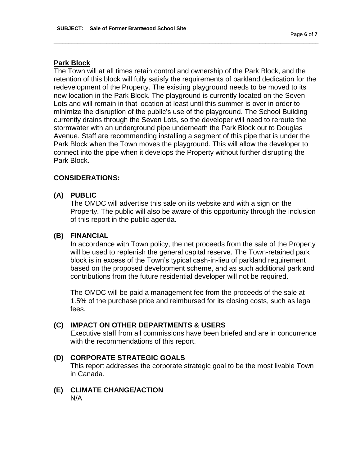#### **Park Block**

The Town will at all times retain control and ownership of the Park Block, and the retention of this block will fully satisfy the requirements of parkland dedication for the redevelopment of the Property. The existing playground needs to be moved to its new location in the Park Block. The playground is currently located on the Seven Lots and will remain in that location at least until this summer is over in order to minimize the disruption of the public's use of the playground. The School Building currently drains through the Seven Lots, so the developer will need to reroute the stormwater with an underground pipe underneath the Park Block out to Douglas Avenue. Staff are recommending installing a segment of this pipe that is under the Park Block when the Town moves the playground. This will allow the developer to connect into the pipe when it develops the Property without further disrupting the Park Block.

\_\_\_\_\_\_\_\_\_\_\_\_\_\_\_\_\_\_\_\_\_\_\_\_\_\_\_\_\_\_\_\_\_\_\_\_\_\_\_\_\_\_\_\_\_\_\_\_\_\_\_\_\_\_\_\_\_\_\_\_\_\_\_\_\_\_\_\_\_\_\_\_\_\_\_\_\_\_\_\_\_\_\_\_\_\_\_\_\_\_

#### **CONSIDERATIONS:**

**(A) PUBLIC**

The OMDC will advertise this sale on its website and with a sign on the Property. The public will also be aware of this opportunity through the inclusion of this report in the public agenda.

#### **(B) FINANCIAL**

In accordance with Town policy, the net proceeds from the sale of the Property will be used to replenish the general capital reserve. The Town-retained park block is in excess of the Town's typical cash-in-lieu of parkland requirement based on the proposed development scheme, and as such additional parkland contributions from the future residential developer will not be required.

The OMDC will be paid a management fee from the proceeds of the sale at 1.5% of the purchase price and reimbursed for its closing costs, such as legal fees.

#### **(C) IMPACT ON OTHER DEPARTMENTS & USERS**

Executive staff from all commissions have been briefed and are in concurrence with the recommendations of this report.

- **(D) CORPORATE STRATEGIC GOALS** This report addresses the corporate strategic goal to be the most livable Town in Canada.
- **(E) CLIMATE CHANGE/ACTION** N/A